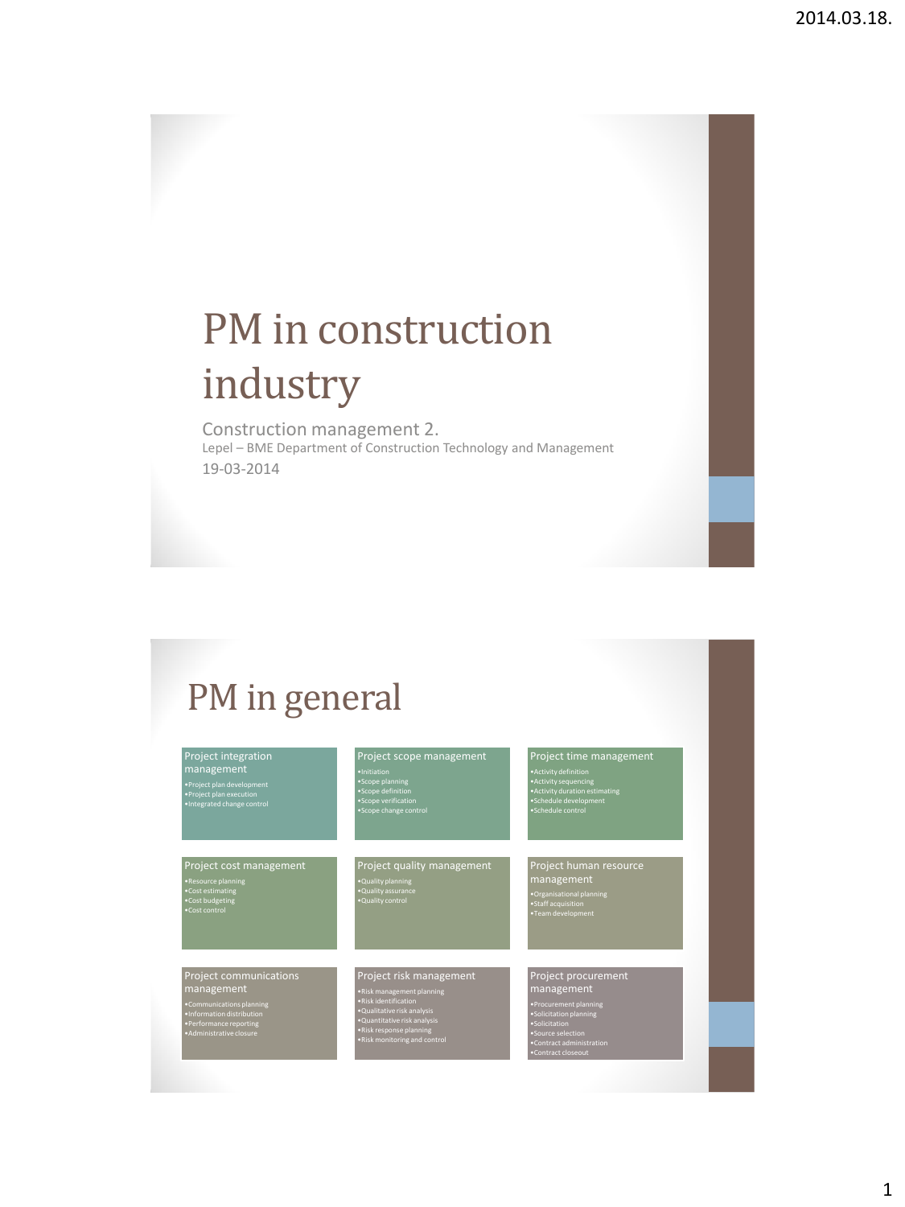# PM in construction industry

Construction management 2. Lepel – BME Department of Construction Technology and Management 19-03-2014

## PM in general

| Project integration<br>management<br>•Project plan development<br>• Project plan execution<br>·Integrated change control                             | Project scope management<br>·Initiation<br>•Scope planning<br>·Scope definition<br>·Scope verification<br>• Scope change control                                                                       | Project time management<br>• Activity definition<br>• Activity sequencing<br>• Activity duration estimating<br>•Schedule development<br>·Schedule control                    |
|------------------------------------------------------------------------------------------------------------------------------------------------------|--------------------------------------------------------------------------------------------------------------------------------------------------------------------------------------------------------|------------------------------------------------------------------------------------------------------------------------------------------------------------------------------|
| Project cost management<br>•Resource planning<br>•Cost estimating<br>•Cost budgeting<br>•Cost control                                                | Project quality management<br>. Quality planning<br>. Quality assurance<br>·Quality control                                                                                                            | Project human resource<br>management<br>·Organisational planning<br>•Staff acquisition<br>•Team development                                                                  |
| Project communications<br>management<br>•Communications planning<br>. Information distribution<br>•Performance reporting<br>· Administrative closure | Project risk management<br>. Risk management planning<br>·Risk identification<br>·Qualitative risk analysis<br>·Quantitative risk analysis<br>.Risk response planning<br>. Risk monitoring and control | Project procurement<br>management<br>•Procurement planning<br>·Solicitation planning<br>·Solicitation<br>·Source selection<br>•Contract administration<br>•Contract closeout |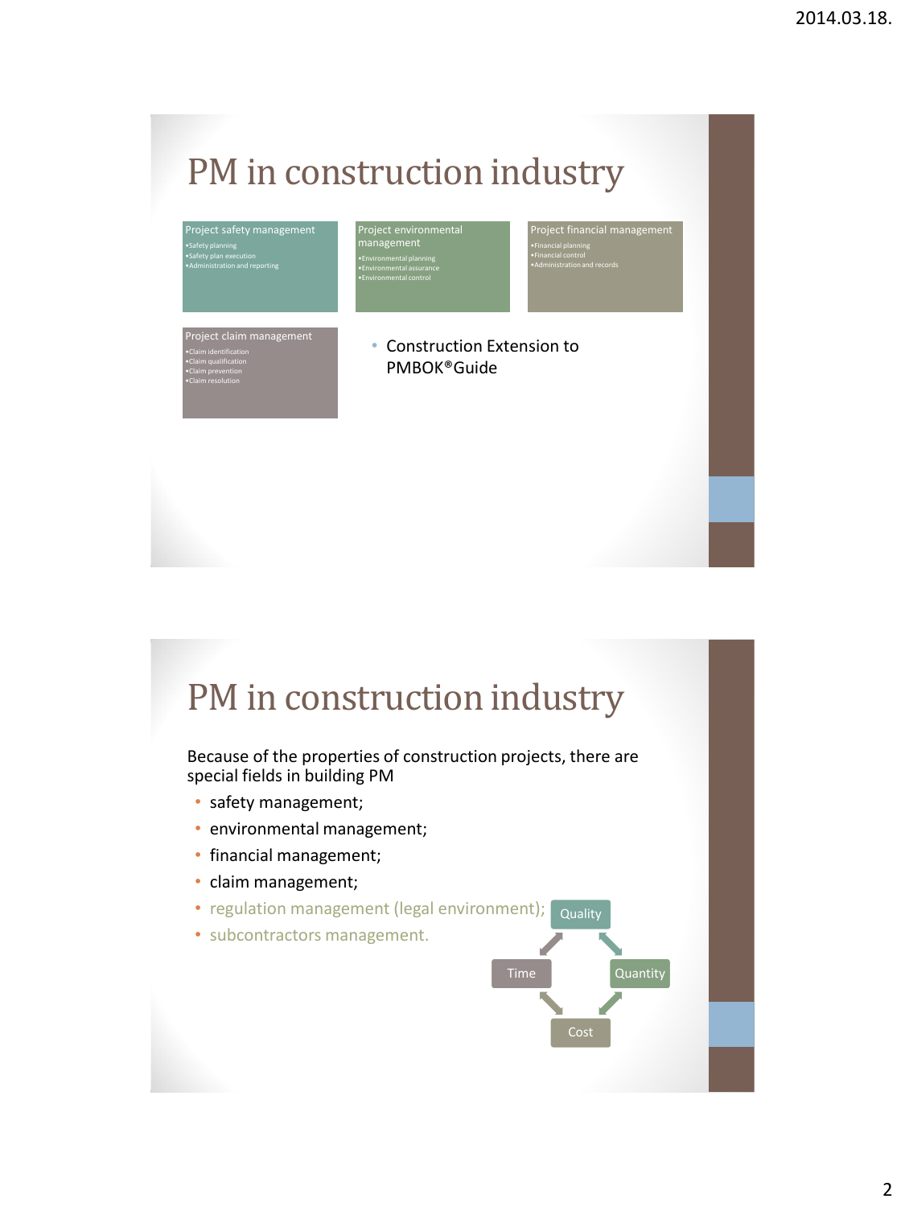## PM in construction industry

| Project safety management<br>·Safety planning<br>·Safety plan execution<br>.Administration and reporting              | Project environmental<br>management<br>· Environmental planning<br>· Environmental assurance<br>· Environmental control | Project financial management<br>. Financial planning<br>· Financial control<br>. Administration and records |
|-----------------------------------------------------------------------------------------------------------------------|-------------------------------------------------------------------------------------------------------------------------|-------------------------------------------------------------------------------------------------------------|
| Project claim management<br>. Claim identification<br>. Claim qualification<br>.Claim prevention<br>.Claim resolution | Construction Extension to<br>۰<br>PMBOK®Guide                                                                           |                                                                                                             |

## PM in construction industry

Because of the properties of construction projects, there are special fields in building PM

- safety management;
- environmental management;
- financial management;
- claim management;
- regulation management (legal environment);
- subcontractors management.

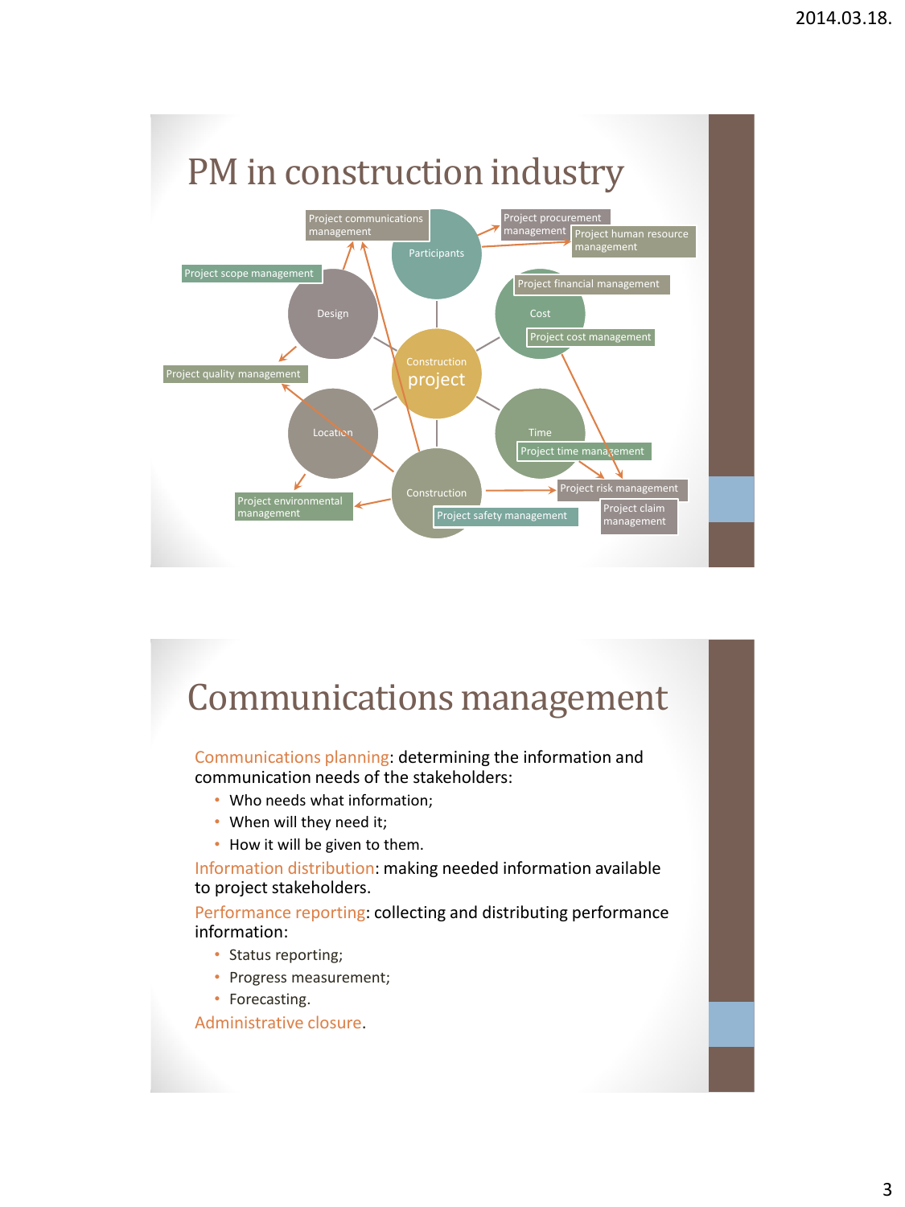

## Communications management

Communications planning: determining the information and communication needs of the stakeholders:

- Who needs what information;
- When will they need it;
- How it will be given to them.

Information distribution: making needed information available to project stakeholders.

Performance reporting: collecting and distributing performance information:

- Status reporting;
- Progress measurement;
- Forecasting.

Administrative closure.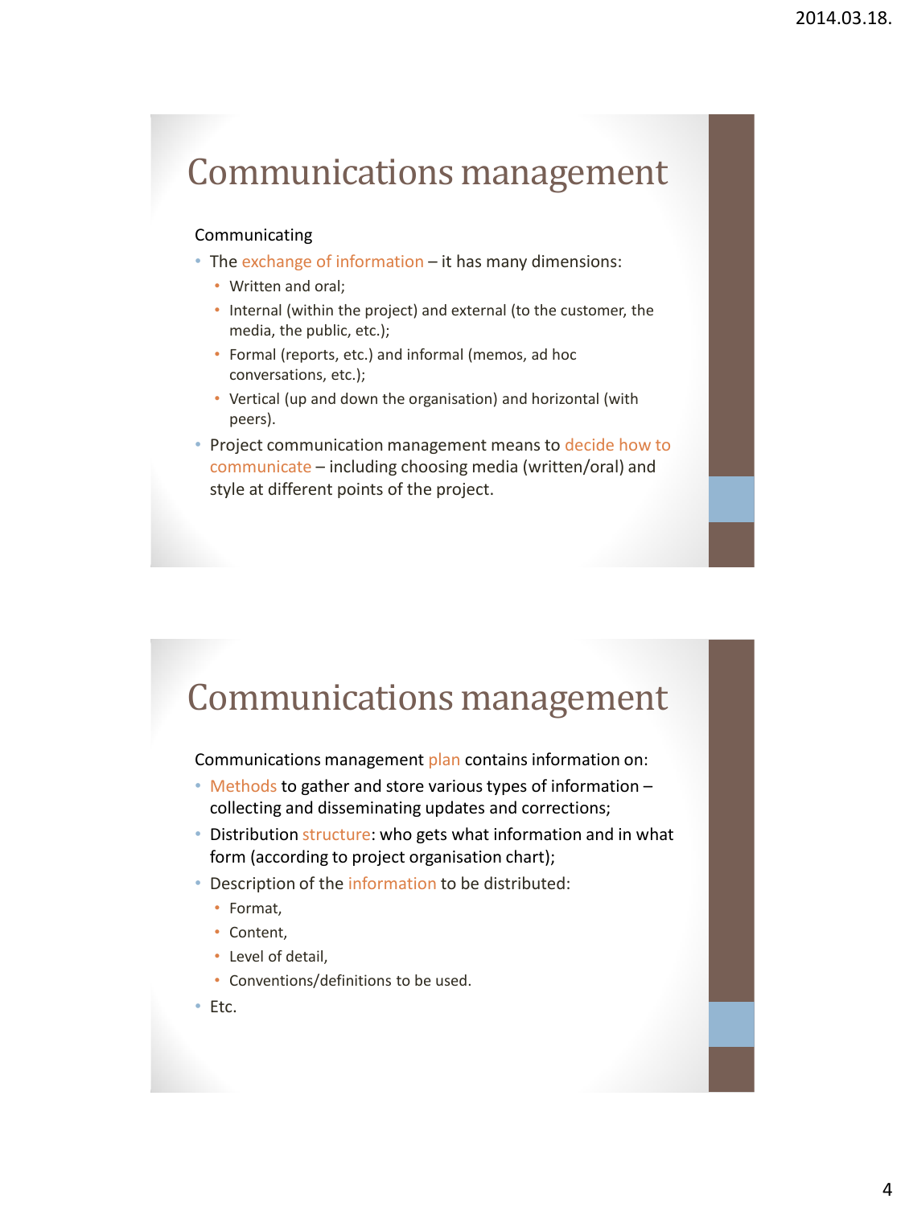## Communications management

### Communicating

- The exchange of information it has many dimensions:
	- Written and oral;
	- Internal (within the project) and external (to the customer, the media, the public, etc.);
	- Formal (reports, etc.) and informal (memos, ad hoc conversations, etc.);
	- Vertical (up and down the organisation) and horizontal (with peers).
- Project communication management means to decide how to communicate – including choosing media (written/oral) and style at different points of the project.

### Communications management

Communications management plan contains information on:

- Methods to gather and store various types of information collecting and disseminating updates and corrections;
- Distribution structure: who gets what information and in what form (according to project organisation chart);
- Description of the information to be distributed:
	- Format,
	- Content,
	- Level of detail,
	- Conventions/definitions to be used.
- Etc.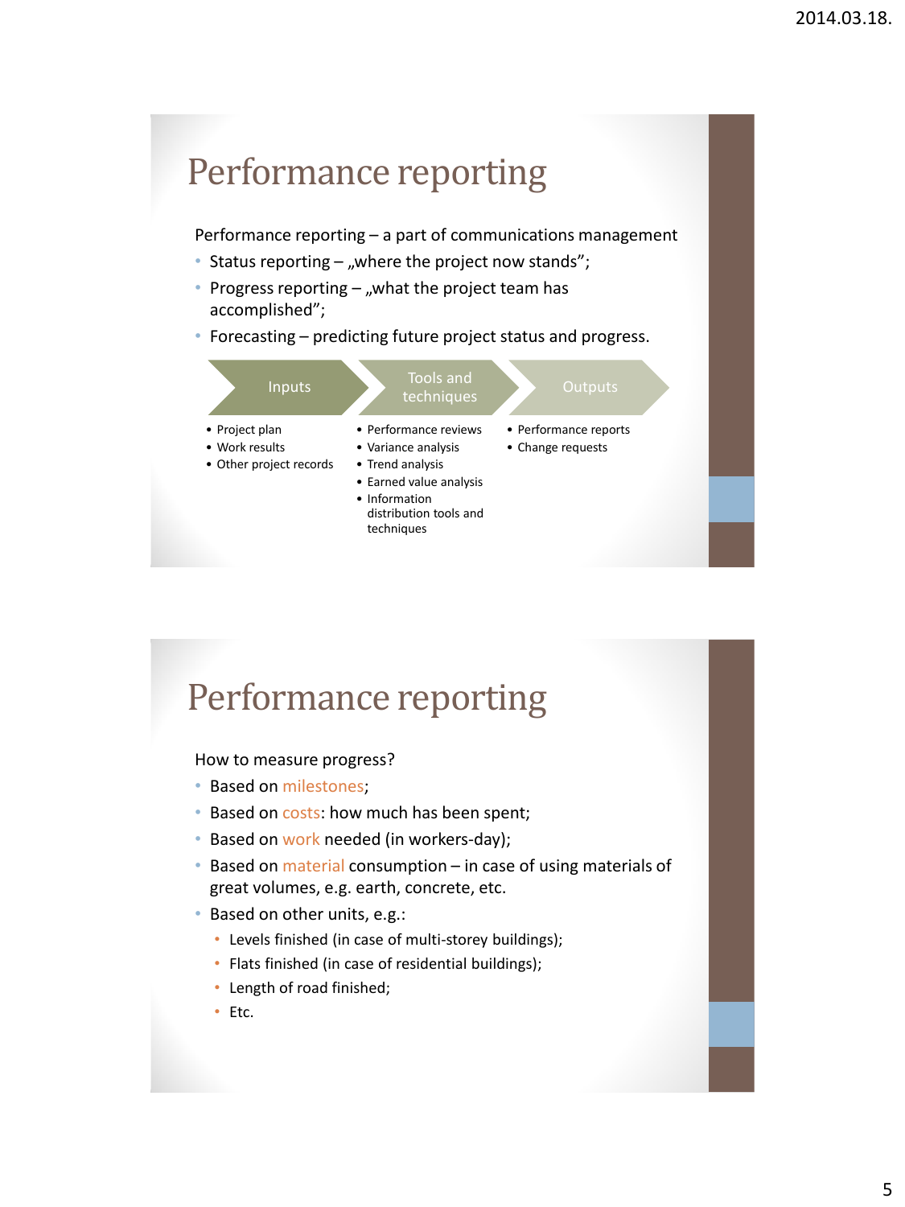Performance reporting – a part of communications management

- Status reporting  $-$  "where the project now stands";
- Progress reporting  $-$  "what the project team has accomplished";
- Forecasting predicting future project status and progress.



### Performance reporting

#### How to measure progress?

- Based on milestones;
- Based on costs: how much has been spent;
- Based on work needed (in workers-day);
- Based on material consumption in case of using materials of great volumes, e.g. earth, concrete, etc.
- Based on other units, e.g.:
	- Levels finished (in case of multi-storey buildings);
	- Flats finished (in case of residential buildings);
	- Length of road finished;
	- Etc.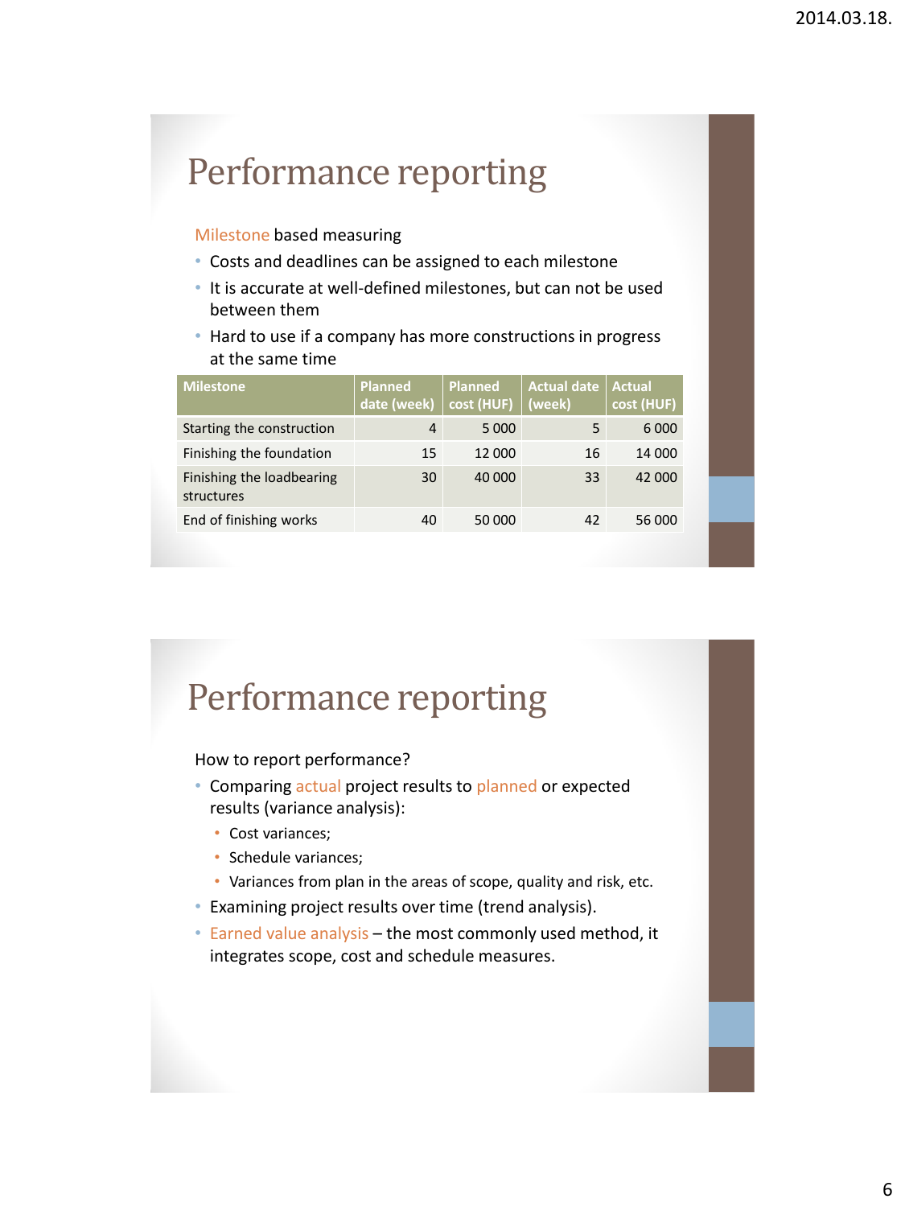#### Milestone based measuring

- Costs and deadlines can be assigned to each milestone
- It is accurate at well-defined milestones, but can not be used between them
- Hard to use if a company has more constructions in progress at the same time

| <b>Planned</b><br>date (week) | <b>Planned</b><br>cost (HUF) | <b>Actual date</b><br>(week) | <b>Actual</b><br>cost (HUF) |
|-------------------------------|------------------------------|------------------------------|-----------------------------|
| 4                             | 5 0 0 0                      | 5                            | 6 0 0 0                     |
| 15                            | 12 000                       | 16                           | 14 000                      |
| 30                            | 40 000                       | 33                           | 42 000                      |
| 40                            | 50 000                       | 42                           | 56 000                      |
|                               |                              |                              |                             |

### Performance reporting

How to report performance?

- Comparing actual project results to planned or expected results (variance analysis):
	- Cost variances;
	- Schedule variances;
	- Variances from plan in the areas of scope, quality and risk, etc.
- Examining project results over time (trend analysis).
- Earned value analysis the most commonly used method, it integrates scope, cost and schedule measures.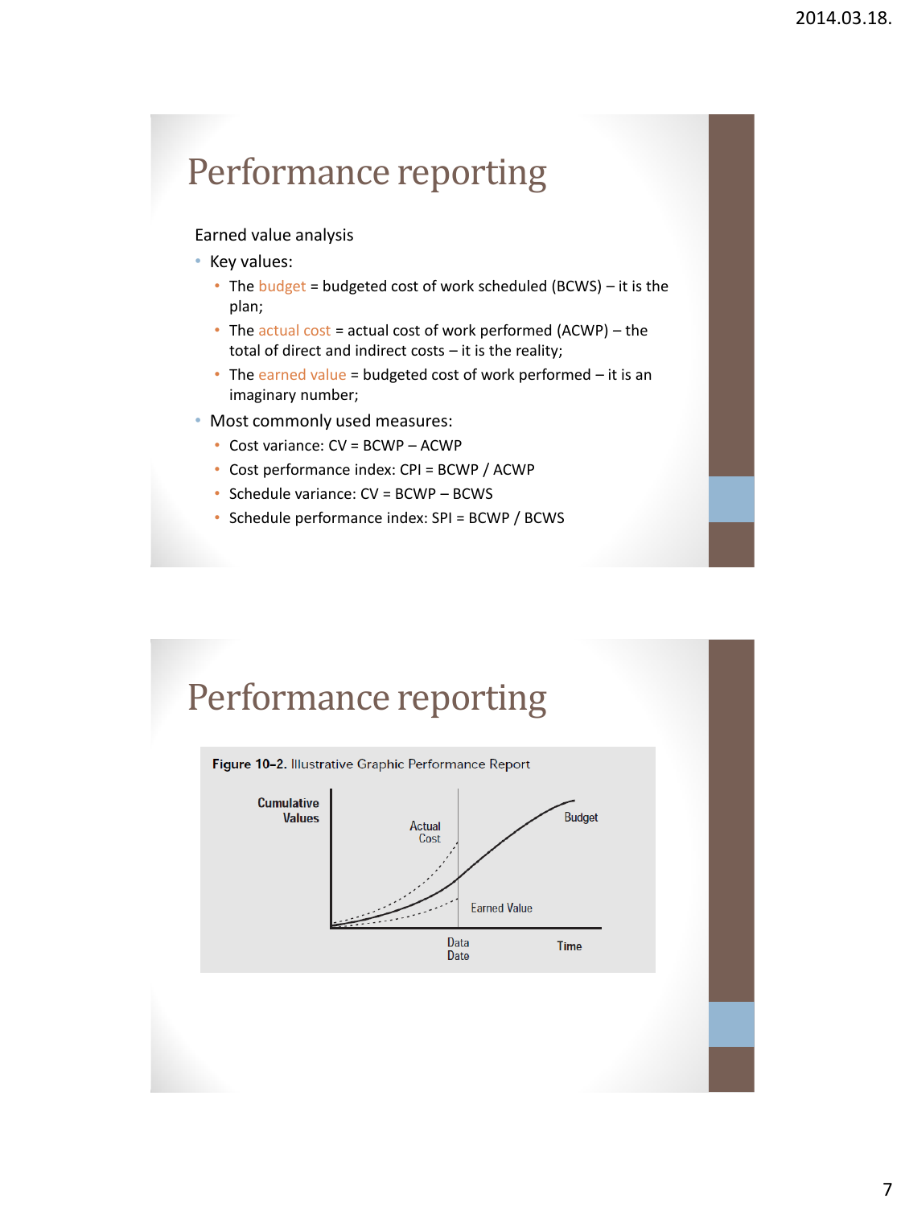#### Earned value analysis

- Key values:
	- The budget = budgeted cost of work scheduled (BCWS) it is the plan;
	- The actual cost = actual cost of work performed  $(ACWP)$  the total of direct and indirect costs – it is the reality;
	- The earned value = budgeted cost of work performed  $-$  it is an imaginary number;
- Most commonly used measures:
	- Cost variance: CV = BCWP ACWP
	- Cost performance index: CPI = BCWP / ACWP
	- Schedule variance: CV = BCWP BCWS
	- Schedule performance index: SPI = BCWP / BCWS



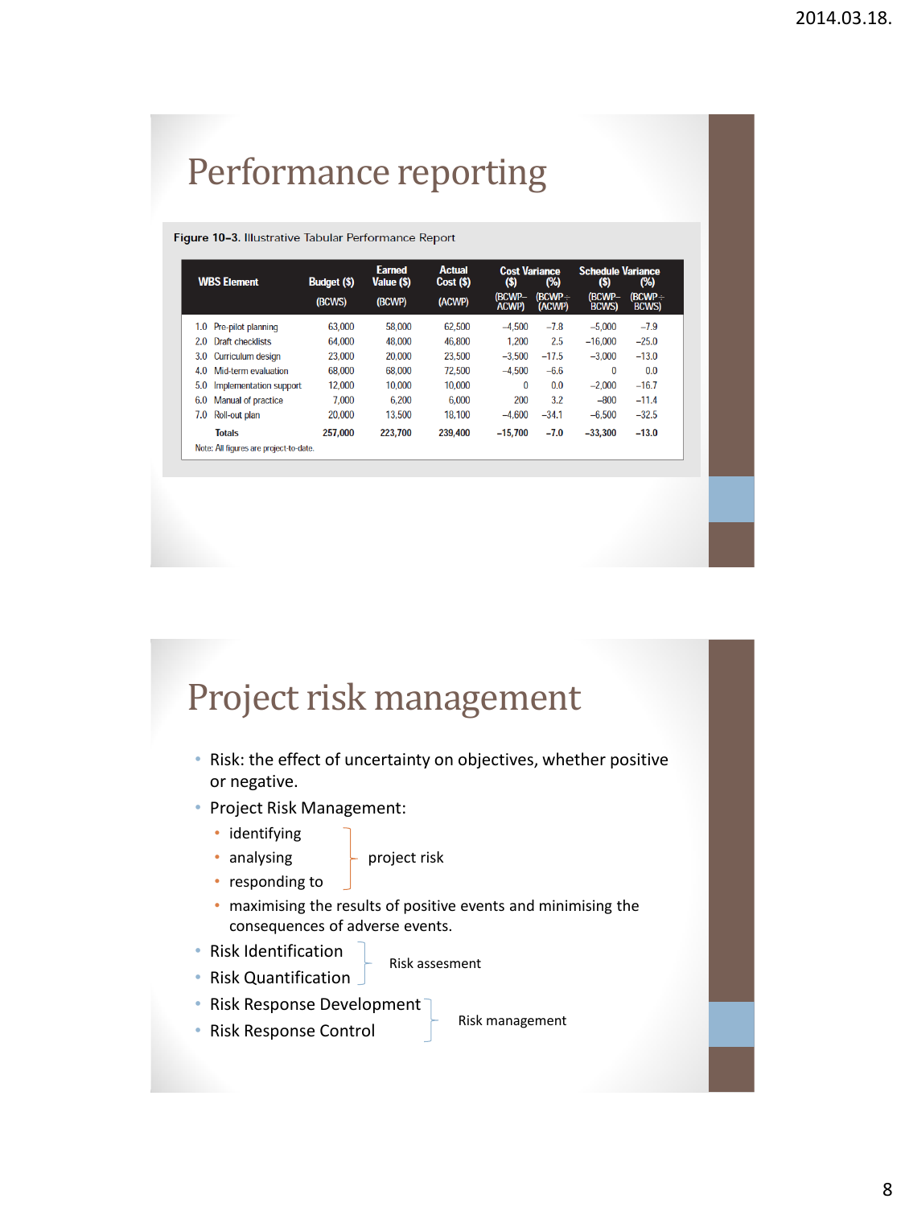#### Figure 10-3. Illustrative Tabular Performance Report

| <b>WBS Element</b>                     | <b>Budget (\$)</b> | <b>Earned</b><br>Value (\$) | <b>Actual</b><br>Cost (\$) | <b>Cost Variance</b><br>(\$) | (%)                     | <b>Schedule Variance</b><br>(\$) | (%)                   |
|----------------------------------------|--------------------|-----------------------------|----------------------------|------------------------------|-------------------------|----------------------------------|-----------------------|
|                                        | (BCWS)             | (BCWP)                      | (ACWP)                     | (BCWP-<br><b>ACWP)</b>       | (BCWP÷<br><b>(ACWP)</b> | (BCWP-<br><b>BCWS</b>            | (BCWP÷<br><b>BCWS</b> |
| Pre-pilot planning<br>1.0              | 63.000             | 58.000                      | 62.500                     | $-4.500$                     | $-7.8$                  | $-5,000$                         | $-7.9$                |
| 2.0<br>Draft checklists                | 64,000             | 48,000                      | 46,800                     | 1.200                        | 2.5                     | $-16,000$                        | $-25.0$               |
| 3.0<br>Curriculum design               | 23,000             | 20,000                      | 23.500                     | $-3.500$                     | $-17.5$                 | $-3.000$                         | $-13.0$               |
| 4.0<br>Mid-term evaluation             | 68,000             | 68.000                      | 72.500                     | $-4.500$                     | $-6.6$                  | 0                                | 0.0                   |
| 5.0<br>Implementation support          | 12,000             | 10.000                      | 10,000                     | $\mathbf{0}$                 | 0.0                     | $-2.000$                         | $-16.7$               |
| <b>Manual of practice</b><br>6.0       | 7.000              | 6.200                       | 6.000                      | 200                          | 3.2                     | $-800$                           | $-11.4$               |
| 7.0<br>Roll-out plan                   | 20,000             | 13.500                      | 18.100                     | $-4.600$                     | $-34.1$                 | $-6.500$                         | $-32.5$               |
| <b>Totals</b>                          | 257.000            | 223.700                     | 239,400                    | $-15.700$                    | $-7.0$                  | $-33.300$                        | $-13.0$               |
| Note: All figures are project-to-date. |                    |                             |                            |                              |                         |                                  |                       |

### Project risk management

- Risk: the effect of uncertainty on objectives, whether positive or negative.
- Project Risk Management:
	- identifying
	-
	- analysing  $\qquad \qquad$  project risk
	- responding to
	- maximising the results of positive events and minimising the consequences of adverse events.
- Risk Identification
- 
- Risk Quantification
- Risk assesment
- Risk Response Development
- Risk management
- Risk Response Control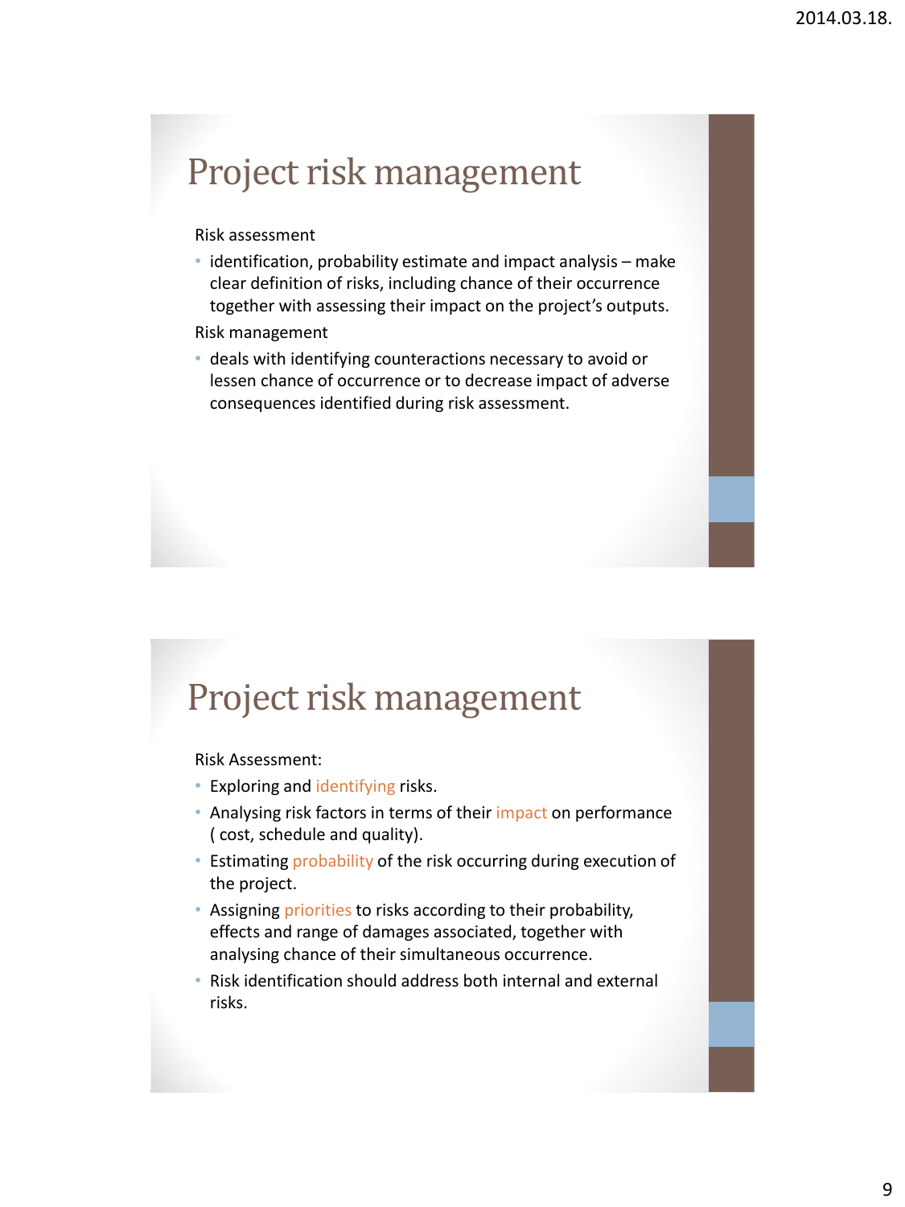## Project risk management

#### Risk assessment

• identification, probability estimate and impact analysis – make clear definition of risks, including chance of their occurrence together with assessing their impact on the project's outputs.

#### Risk management

• deals with identifying counteractions necessary to avoid or lessen chance of occurrence or to decrease impact of adverse consequences identified during risk assessment.

### Project risk management

Risk Assessment:

- Exploring and identifying risks.
- Analysing risk factors in terms of their impact on performance ( cost, schedule and quality).
- Estimating probability of the risk occurring during execution of the project.
- Assigning priorities to risks according to their probability, effects and range of damages associated, together with analysing chance of their simultaneous occurrence.
- Risk identification should address both internal and external risks.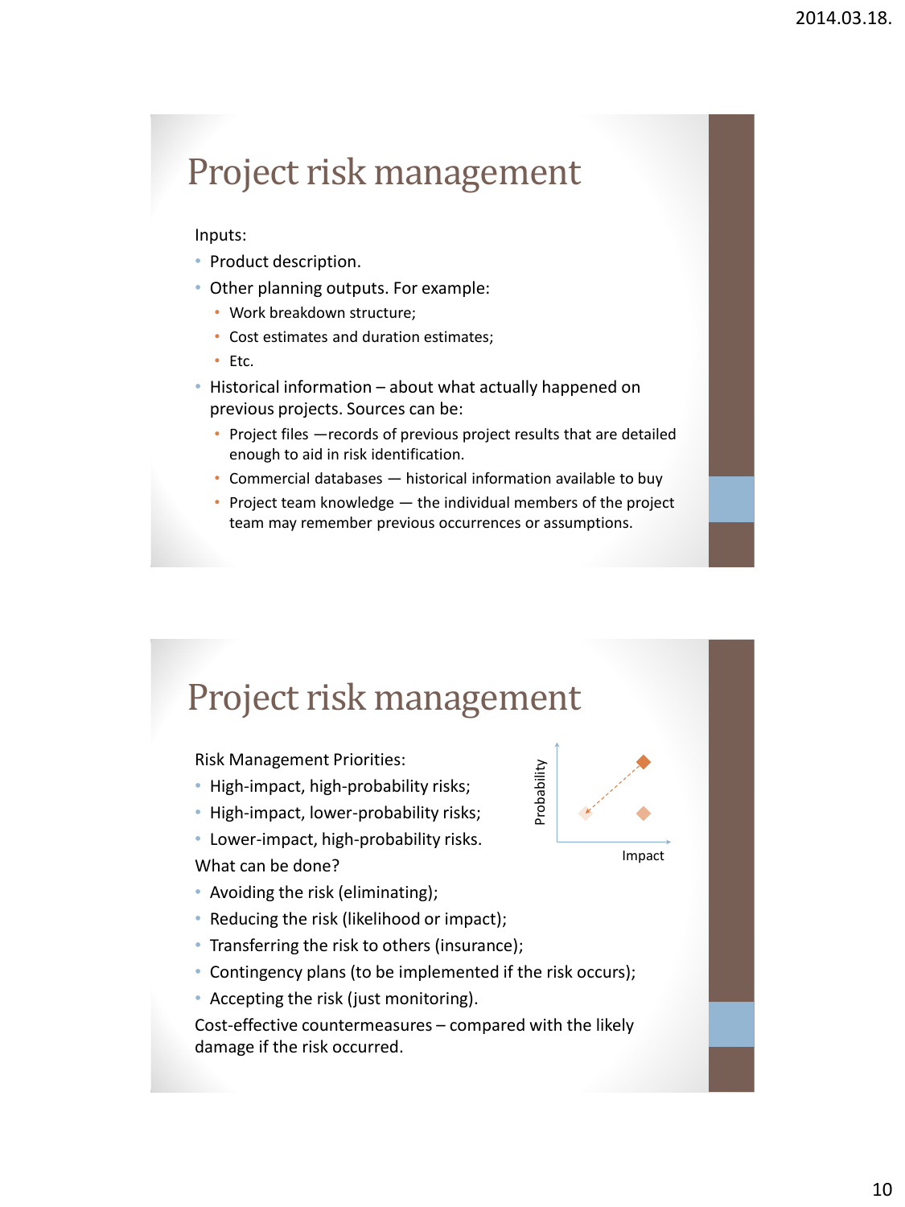## Project risk management

#### Inputs:

- Product description.
- Other planning outputs. For example:
	- Work breakdown structure;
	- Cost estimates and duration estimates;
	- Etc.
- Historical information about what actually happened on previous projects. Sources can be:
	- Project files —records of previous project results that are detailed enough to aid in risk identification.
	- Commercial databases historical information available to buy
	- Project team knowledge the individual members of the project team may remember previous occurrences or assumptions.

## Project risk management

Risk Management Priorities:

- High-impact, high-probability risks;
- High-impact, lower-probability risks;
- Lower-impact, high-probability risks. What can be done?
- Avoiding the risk (eliminating);
- Reducing the risk (likelihood or impact);
- Transferring the risk to others (insurance);
- Contingency plans (to be implemented if the risk occurs);
- Accepting the risk (just monitoring).

Cost-effective countermeasures – compared with the likely damage if the risk occurred.



Impact